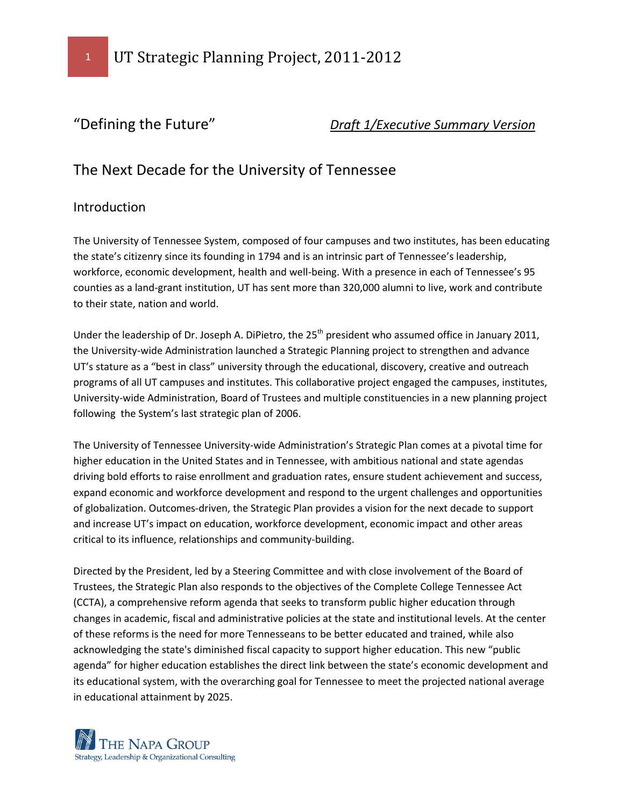

# "Defining the Future" *Draft 1/Executive Summary Version*

# The Next Decade for the University of Tennessee

### Introduction

The University of Tennessee System, composed of four campuses and two institutes, has been educating the state's citizenry since its founding in 1794 and is an intrinsic part of Tennessee's leadership, workforce, economic development, health and well-being. With a presence in each of Tennessee's 95 counties as a land-grant institution, UT has sent more than 320,000 alumni to live, work and contribute to their state, nation and world.

Under the leadership of Dr. Joseph A. DiPietro, the 25<sup>th</sup> president who assumed office in January 2011, the University-wide Administration launched a Strategic Planning project to strengthen and advance UT's stature as a "best in class" university through the educational, discovery, creative and outreach programs of all UT campuses and institutes. This collaborative project engaged the campuses, institutes, University-wide Administration, Board of Trustees and multiple constituencies in a new planning project following the System's last strategic plan of 2006.

The University of Tennessee University-wide Administration's Strategic Plan comes at a pivotal time for higher education in the United States and in Tennessee, with ambitious national and state agendas driving bold efforts to raise enrollment and graduation rates, ensure student achievement and success, expand economic and workforce development and respond to the urgent challenges and opportunities of globalization. Outcomes‐driven, the Strategic Plan provides a vision for the next decade to support and increase UT's impact on education, workforce development, economic impact and other areas critical to its influence, relationships and community‐building.

Directed by the President, led by a Steering Committee and with close involvement of the Board of Trustees, the Strategic Plan also responds to the objectives of the Complete College Tennessee Act (CCTA), a comprehensive reform agenda that seeks to transform public higher education through changes in academic, fiscal and administrative policies at the state and institutional levels. At the center of these reforms is the need for more Tennesseans to be better educated and trained, while also acknowledging the state's diminished fiscal capacity to support higher education. This new "public agenda" for higher education establishes the direct link between the state's economic development and its educational system, with the overarching goal for Tennessee to meet the projected national average in educational attainment by 2025.

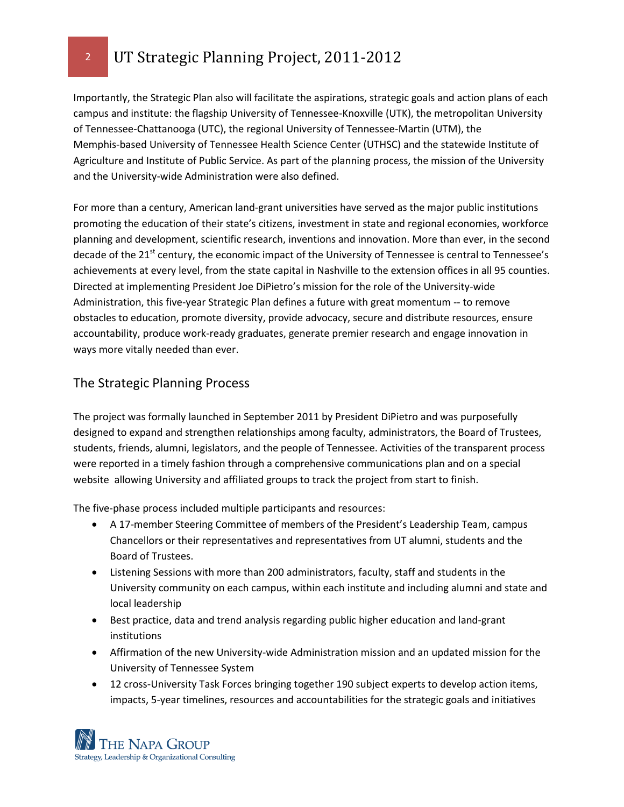Importantly, the Strategic Plan also will facilitate the aspirations, strategic goals and action plans of each campus and institute: the flagship University of Tennessee-Knoxville (UTK), the metropolitan University of Tennessee-Chattanooga (UTC), the regional University of Tennessee-Martin (UTM), the Memphis‐based University of Tennessee Health Science Center (UTHSC) and the statewide Institute of Agriculture and Institute of Public Service. As part of the planning process, the mission of the University and the University-wide Administration were also defined.

For more than a century, American land‐grant universities have served as the major public institutions promoting the education of their state's citizens, investment in state and regional economies, workforce planning and development, scientific research, inventions and innovation. More than ever, in the second decade of the 21<sup>st</sup> century, the economic impact of the University of Tennessee is central to Tennessee's achievements at every level, from the state capital in Nashville to the extension offices in all 95 counties. Directed at implementing President Joe DiPietro's mission for the role of the University-wide Administration, this five-year Strategic Plan defines a future with great momentum -- to remove obstacles to education, promote diversity, provide advocacy, secure and distribute resources, ensure accountability, produce work‐ready graduates, generate premier research and engage innovation in ways more vitally needed than ever.

# The Strategic Planning Process

The project was formally launched in September 2011 by President DiPietro and was purposefully designed to expand and strengthen relationships among faculty, administrators, the Board of Trustees, students, friends, alumni, legislators, and the people of Tennessee. Activities of the transparent process were reported in a timely fashion through a comprehensive communications plan and on a special website allowing University and affiliated groups to track the project from start to finish.

The five-phase process included multiple participants and resources:

- A 17-member Steering Committee of members of the President's Leadership Team, campus Chancellors or their representatives and representatives from UT alumni, students and the Board of Trustees.
- Listening Sessions with more than 200 administrators, faculty, staff and students in the University community on each campus, within each institute and including alumni and state and local leadership
- Best practice, data and trend analysis regarding public higher education and land-grant institutions
- Affirmation of the new University-wide Administration mission and an updated mission for the University of Tennessee System
- 12 cross-University Task Forces bringing together 190 subject experts to develop action items, impacts, 5-year timelines, resources and accountabilities for the strategic goals and initiatives

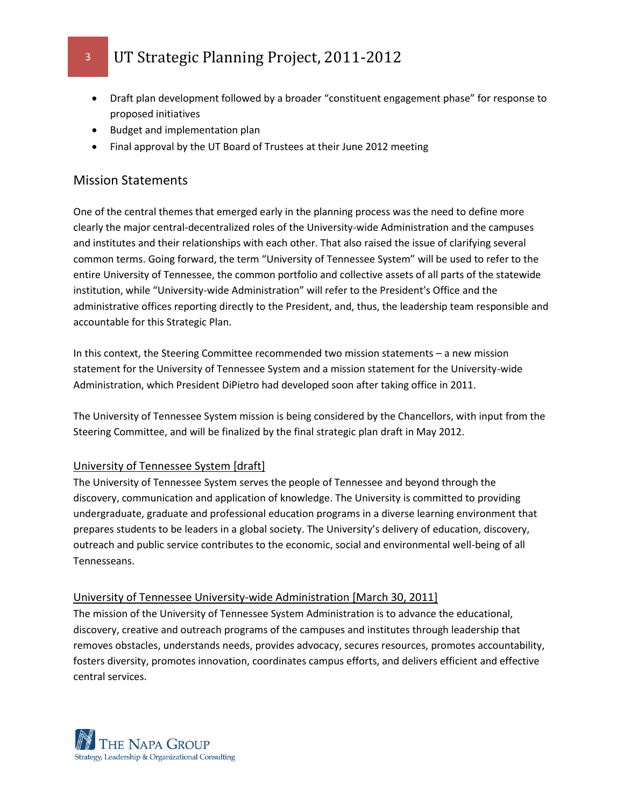- Draft plan development followed by a broader "constituent engagement phase" for response to proposed initiatives
- Budget and implementation plan
- Final approval by the UT Board of Trustees at their June 2012 meeting

### Mission Statements

One of the central themes that emerged early in the planning process was the need to define more clearly the major central-decentralized roles of the University-wide Administration and the campuses and institutes and their relationships with each other. That also raised the issue of clarifying several common terms. Going forward, the term "University of Tennessee System" will be used to refer to the entire University of Tennessee, the common portfolio and collective assets of all parts of the statewide institution, while "University-wide Administration" will refer to the President's Office and the administrative offices reporting directly to the President, and, thus, the leadership team responsible and accountable for this Strategic Plan.

In this context, the Steering Committee recommended two mission statements – a new mission statement for the University of Tennessee System and a mission statement for the University-wide Administration, which President DiPietro had developed soon after taking office in 2011.

The University of Tennessee System mission is being considered by the Chancellors, with input from the Steering Committee, and will be finalized by the final strategic plan draft in May 2012.

#### University of Tennessee System [draft]

The University of Tennessee System serves the people of Tennessee and beyond through the discovery, communication and application of knowledge. The University is committed to providing undergraduate, graduate and professional education programs in a diverse learning environment that prepares students to be leaders in a global society. The University's delivery of education, discovery, outreach and public service contributes to the economic, social and environmental well-being of all Tennesseans.

#### University of Tennessee University-wide Administration [March 30, 2011]

The mission of the University of Tennessee System Administration is to advance the educational, discovery, creative and outreach programs of the campuses and institutes through leadership that removes obstacles, understands needs, provides advocacy, secures resources, promotes accountability, fosters diversity, promotes innovation, coordinates campus efforts, and delivers efficient and effective central services.

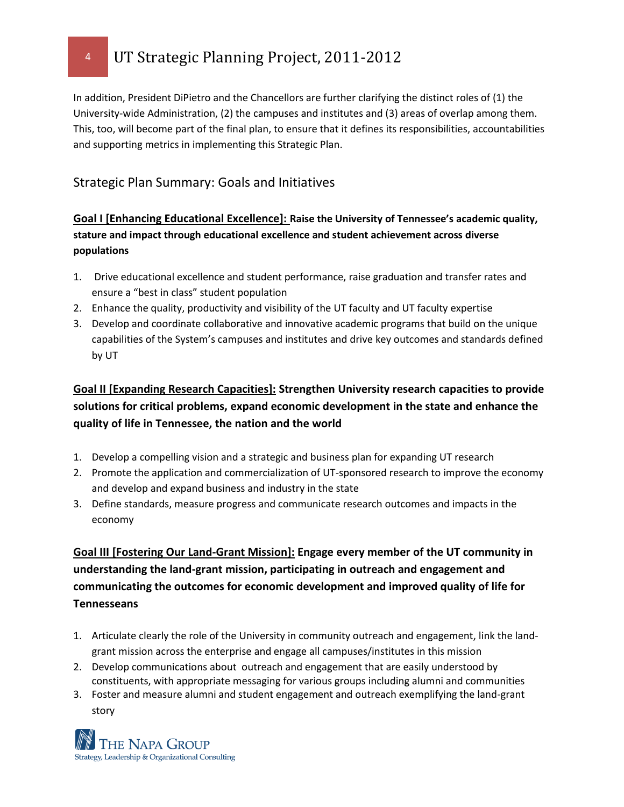In addition, President DiPietro and the Chancellors are further clarifying the distinct roles of (1) the University-wide Administration, (2) the campuses and institutes and (3) areas of overlap among them. This, too, will become part of the final plan, to ensure that it defines its responsibilities, accountabilities and supporting metrics in implementing this Strategic Plan.

# Strategic Plan Summary: Goals and Initiatives

## **Goal I [Enhancing Educational Excellence]: Raise the University of Tennessee's academic quality, stature and impact through educational excellence and student achievement across diverse populations**

- 1. Drive educational excellence and student performance, raise graduation and transfer rates and ensure a "best in class" student population
- 2. Enhance the quality, productivity and visibility of the UT faculty and UT faculty expertise
- 3. Develop and coordinate collaborative and innovative academic programs that build on the unique capabilities of the System's campuses and institutes and drive key outcomes and standards defined by UT

# **Goal II [Expanding Research Capacities]: Strengthen University research capacities to provide solutions for critical problems, expand economic development in the state and enhance the quality of life in Tennessee, the nation and the world**

- 1. Develop a compelling vision and a strategic and business plan for expanding UT research
- 2. Promote the application and commercialization of UT-sponsored research to improve the economy and develop and expand business and industry in the state
- 3. Define standards, measure progress and communicate research outcomes and impacts in the economy

# **Goal III [Fostering Our Land-Grant Mission]: Engage every member of the UT community in understanding the land-grant mission, participating in outreach and engagement and communicating the outcomes for economic development and improved quality of life for Tennesseans**

- 1. Articulate clearly the role of the University in community outreach and engagement, link the landgrant mission across the enterprise and engage all campuses/institutes in this mission
- 2. Develop communications about outreach and engagement that are easily understood by constituents, with appropriate messaging for various groups including alumni and communities
- 3. Foster and measure alumni and student engagement and outreach exemplifying the land-grant story

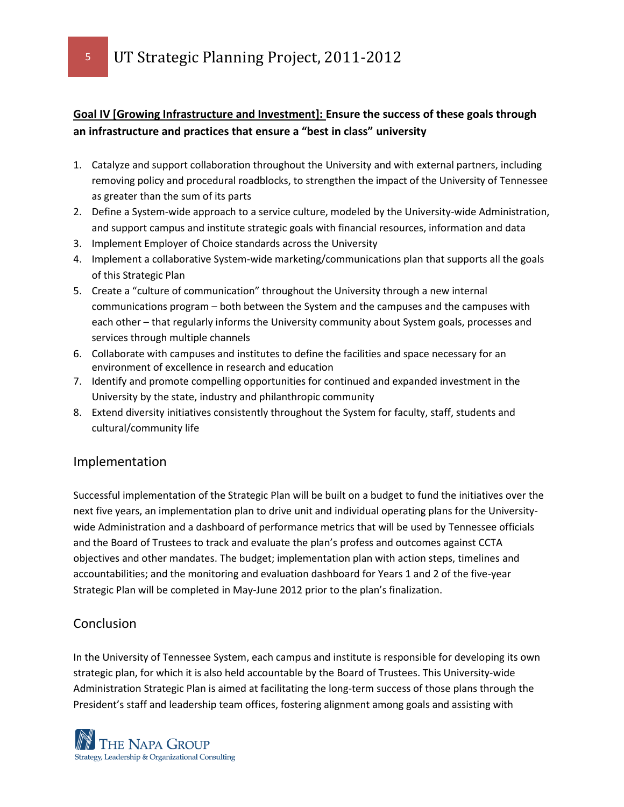<sup>5</sup> UT Strategic Planning Project, 2011-2012

### **Goal IV [Growing Infrastructure and Investment]: Ensure the success of these goals through an infrastructure and practices that ensure a "best in class" university**

- 1. Catalyze and support collaboration throughout the University and with external partners, including removing policy and procedural roadblocks, to strengthen the impact of the University of Tennessee as greater than the sum of its parts
- 2. Define a System-wide approach to a service culture, modeled by the University-wide Administration, and support campus and institute strategic goals with financial resources, information and data
- 3. Implement Employer of Choice standards across the University
- 4. Implement a collaborative System-wide marketing/communications plan that supports all the goals of this Strategic Plan
- 5. Create a "culture of communication" throughout the University through a new internal communications program – both between the System and the campuses and the campuses with each other – that regularly informs the University community about System goals, processes and services through multiple channels
- 6. Collaborate with campuses and institutes to define the facilities and space necessary for an environment of excellence in research and education
- 7. Identify and promote compelling opportunities for continued and expanded investment in the University by the state, industry and philanthropic community
- 8. Extend diversity initiatives consistently throughout the System for faculty, staff, students and cultural/community life

#### Implementation

Successful implementation of the Strategic Plan will be built on a budget to fund the initiatives over the next five years, an implementation plan to drive unit and individual operating plans for the Universitywide Administration and a dashboard of performance metrics that will be used by Tennessee officials and the Board of Trustees to track and evaluate the plan's profess and outcomes against CCTA objectives and other mandates. The budget; implementation plan with action steps, timelines and accountabilities; and the monitoring and evaluation dashboard for Years 1 and 2 of the five-year Strategic Plan will be completed in May-June 2012 prior to the plan's finalization.

### **Conclusion**

In the University of Tennessee System, each campus and institute is responsible for developing its own strategic plan, for which it is also held accountable by the Board of Trustees. This University-wide Administration Strategic Plan is aimed at facilitating the long-term success of those plans through the President's staff and leadership team offices, fostering alignment among goals and assisting with